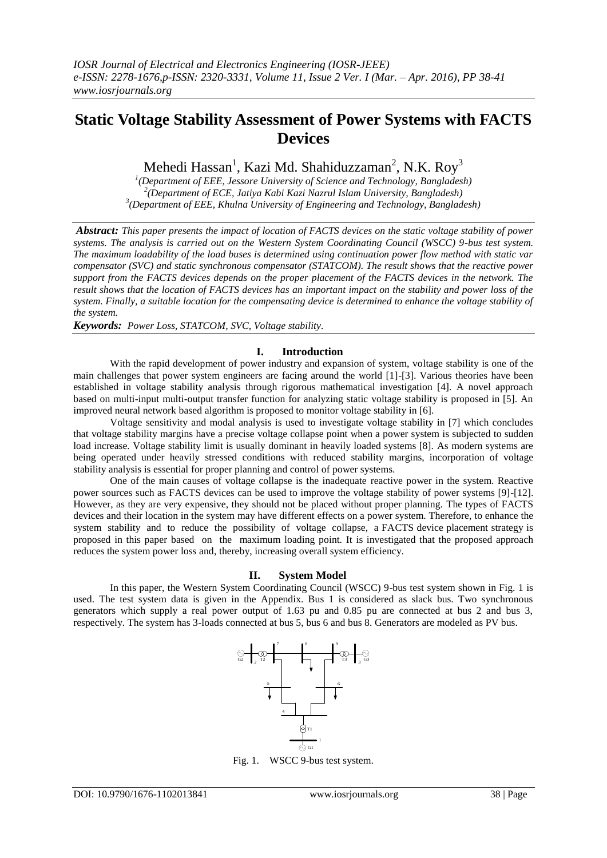# **Static Voltage Stability Assessment of Power Systems with FACTS Devices**

Mehedi Hassan<sup>1</sup>, Kazi Md. Shahiduzzaman<sup>2</sup>, N.K. Roy<sup>3</sup>

*1 (Department of EEE, Jessore University of Science and Technology, Bangladesh) 2 (Department of ECE, Jatiya Kabi Kazi Nazrul Islam University, Bangladesh) 3 (Department of EEE, Khulna University of Engineering and Technology, Bangladesh)*

*Abstract: This paper presents the impact of location of FACTS devices on the static voltage stability of power systems. The analysis is carried out on the Western System Coordinating Council (WSCC) 9-bus test system. The maximum loadability of the load buses is determined using continuation power flow method with static var compensator (SVC) and static synchronous compensator (STATCOM). The result shows that the reactive power support from the FACTS devices depends on the proper placement of the FACTS devices in the network. The result shows that the location of FACTS devices has an important impact on the stability and power loss of the system. Finally, a suitable location for the compensating device is determined to enhance the voltage stability of the system.*

*Keywords: Power Loss, STATCOM, SVC, Voltage stability.*

# **I. Introduction**

With the rapid development of power industry and expansion of system, voltage stability is one of the main challenges that power system engineers are facing around the world [1]-[3]. Various theories have been established in voltage stability analysis through rigorous mathematical investigation [4]. A novel approach based on multi-input multi-output transfer function for analyzing static voltage stability is proposed in [5]. An improved neural network based algorithm is proposed to monitor voltage stability in [6].

Voltage sensitivity and modal analysis is used to investigate voltage stability in [7] which concludes that voltage stability margins have a precise voltage collapse point when a power system is subjected to sudden load increase. Voltage stability limit is usually dominant in heavily loaded systems [8]. As modern systems are being operated under heavily stressed conditions with reduced stability margins, incorporation of voltage stability analysis is essential for proper planning and control of power systems.

One of the main causes of voltage collapse is the inadequate reactive power in the system. Reactive power sources such as FACTS devices can be used to improve the voltage stability of power systems [9]-[12]. However, as they are very expensive, they should not be placed without proper planning. The types of FACTS devices and their location in the system may have different effects on a power system. Therefore, to enhance the system stability and to reduce the possibility of voltage collapse, a FACTS device placement strategy is proposed in this paper based on the maximum loading point. It is investigated that the proposed approach reduces the system power loss and, thereby, increasing overall system efficiency.

### **II. System Model**

In this paper, the Western System Coordinating Council (WSCC) 9-bus test system shown in Fig. 1 is used. The test system data is given in the Appendix. Bus 1 is considered as slack bus. Two synchronous generators which supply a real power output of 1.63 pu and 0.85 pu are connected at bus 2 and bus 3, respectively. The system has 3-loads connected at bus 5, bus 6 and bus 8. Generators are modeled as PV bus.



Fig. 1. WSCC 9-bus test system.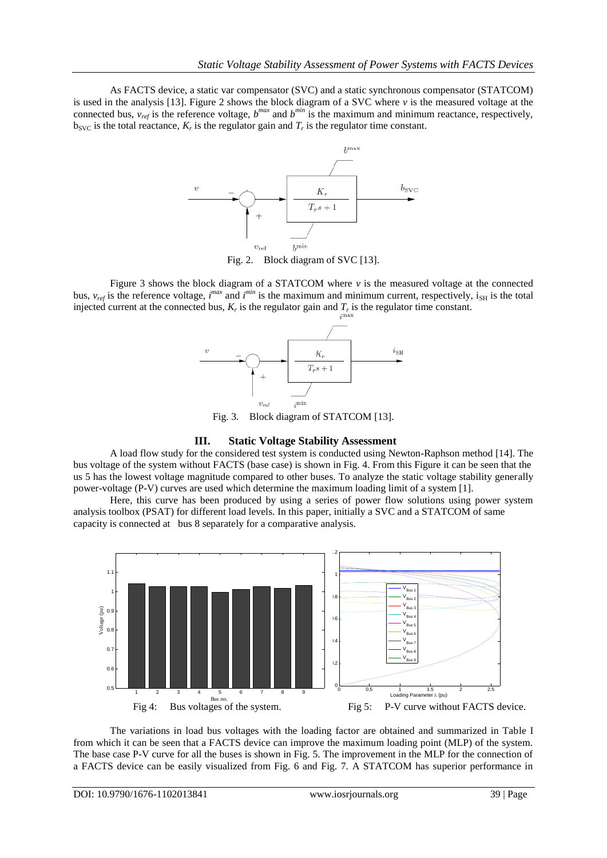As FACTS device, a static var compensator (SVC) and a static synchronous compensator (STATCOM) is used in the analysis [13]. Figure 2 shows the block diagram of a SVC where *v* is the measured voltage at the connected bus,  $v_{ref}$  is the reference voltage,  $b^{max}$  and  $b^{min}$  is the maximum and minimum reactance, respectively,  $b_{SVC}$  is the total reactance,  $K_r$  is the regulator gain and  $T_r$  is the regulator time constant.



Fig. 2. Block diagram of SVC [13].

Figure 3 shows the block diagram of a STATCOM where *v* is the measured voltage at the connected bus,  $v_{ref}$  is the reference voltage, *i*<sup>max</sup> and *i*<sup>min</sup> is the maximum and minimum current, respectively, i<sub>SH</sub> is the total injected current at the connected bus,  $K_r$  is the regulator gain and  $T_r$  is the regulator time constant.



Fig. 3. Block diagram of STATCOM [13].

## **III. Static Voltage Stability Assessment**

A load flow study for the considered test system is conducted using Newton-Raphson method [14]. The bus voltage of the system without FACTS (base case) is shown in Fig. 4. From this Figure it can be seen that the us 5 has the lowest voltage magnitude compared to other buses. To analyze the static voltage stability generally power-voltage (P-V) curves are used which determine the maximum loading limit of a system [1].

Here, this curve has been produced by using a series of power flow solutions using power system analysis toolbox (PSAT) for different load levels. In this paper, initially a SVC and a STATCOM of same capacity is connected at bus 8 separately for a comparative analysis.



The variations in load bus voltages with the loading factor are obtained and summarized in Table I from which it can be seen that a FACTS device can improve the maximum loading point (MLP) of the system. The base case P-V curve for all the buses is shown in Fig. 5. The improvement in the MLP for the connection of a FACTS device can be easily visualized from Fig. 6 and Fig. 7. A STATCOM has superior performance in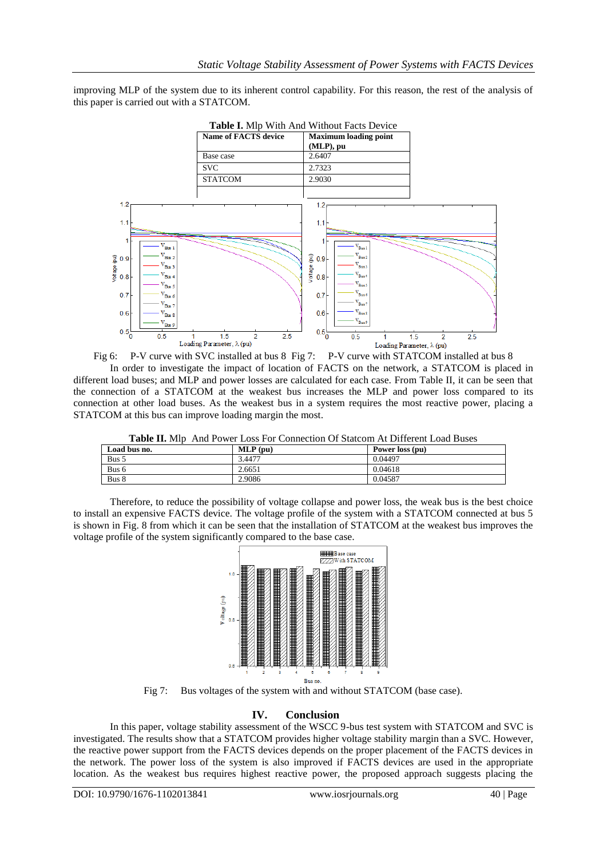improving MLP of the system due to its inherent control capability. For this reason, the rest of the analysis of this paper is carried out with a STATCOM.



Fig 6: P-V curve with SVC installed at bus 8 Fig 7: P-V curve with STATCOM installed at bus 8 In order to investigate the impact of location of FACTS on the network, a STATCOM is placed in different load buses; and MLP and power losses are calculated for each case. From Table II, it can be seen that the connection of a STATCOM at the weakest bus increases the MLP and power loss compared to its connection at other load buses. As the weakest bus in a system requires the most reactive power, placing a STATCOM at this bus can improve loading margin the most.

|            | <b>Table II.</b> Mlp And Power Loss For Connection Of Statcom At Different Load Buses |            |                 |  |  |
|------------|---------------------------------------------------------------------------------------|------------|-----------------|--|--|
| ıd bus no. |                                                                                       | $MLP$ (pu) | Power loss (pu) |  |  |

| Load bus no. | $MLP$ (pu) | Power loss (pu) |
|--------------|------------|-----------------|
| Bus 5        | 3.4477     | 0.04497         |
| Bus 6        | 2.6651     | 0.04618         |
| Bus 8        | 2.9086     | 0.04587         |
|              |            |                 |

Therefore, to reduce the possibility of voltage collapse and power loss, the weak bus is the best choice to install an expensive FACTS device. The voltage profile of the system with a STATCOM connected at bus 5 is shown in Fig. 8 from which it can be seen that the installation of STATCOM at the weakest bus improves the voltage profile of the system significantly compared to the base case.



Fig 7: Bus voltages of the system with and without STATCOM (base case).

# **IV. Conclusion**

In this paper, voltage stability assessment of the WSCC 9-bus test system with STATCOM and SVC is investigated. The results show that a STATCOM provides higher voltage stability margin than a SVC. However, the reactive power support from the FACTS devices depends on the proper placement of the FACTS devices in the network. The power loss of the system is also improved if FACTS devices are used in the appropriate location. As the weakest bus requires highest reactive power, the proposed approach suggests placing the